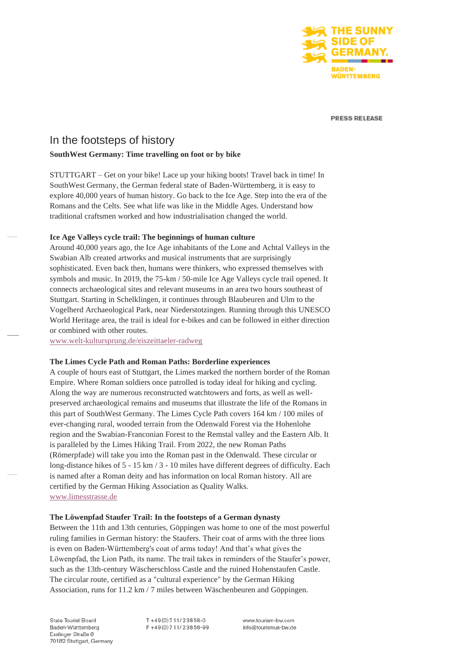

**PRESS RELEASE** 

# In the footsteps of history

# **SouthWest Germany: Time travelling on foot or by bike**

STUTTGART – Get on your bike! Lace up your hiking boots! Travel back in time! In SouthWest Germany, the German federal state of Baden-Württemberg, it is easy to explore 40,000 years of human history. Go back to the Ice Age. Step into the era of the Romans and the Celts. See what life was like in the Middle Ages. Understand how traditional craftsmen worked and how industrialisation changed the world.

# **Ice Age Valleys cycle trail: The beginnings of human culture**

Around 40,000 years ago, the Ice Age inhabitants of the Lone and Achtal Valleys in the Swabian Alb created artworks and musical instruments that are surprisingly sophisticated. Even back then, humans were thinkers, who expressed themselves with symbols and music. In 2019, the 75-km / 50-mile Ice Age Valleys cycle trail opened. It connects archaeological sites and relevant museums in an area two hours southeast of Stuttgart. Starting in Schelklingen, it continues through Blaubeuren and Ulm to the Vogelherd Archaeological Park, near Niederstotzingen. Running through this UNESCO World Heritage area, the trail is ideal for e-bikes and can be followed in either direction or combined with other routes.

[www.welt-kultursprung.de/eiszeittaeler-radweg](http://www.welt-kultursprung.de/eiszeittaeler-radweg)

### **The Limes Cycle Path and Roman Paths: Borderline experiences**

A couple of hours east of Stuttgart, the Limes marked the northern border of the Roman Empire. Where Roman soldiers once patrolled is today ideal for hiking and cycling. Along the way are numerous reconstructed watchtowers and forts, as well as wellpreserved archaeological remains and museums that illustrate the life of the Romans in this part of SouthWest Germany. The Limes Cycle Path covers 164 km / 100 miles of ever-changing rural, wooded terrain from the Odenwald Forest via the Hohenlohe region and the Swabian-Franconian Forest to the Remstal valley and the Eastern Alb. It is paralleled by the Limes Hiking Trail. From 2022, the new Roman Paths (Römerpfade) will take you into the Roman past in the Odenwald. These circular or long-distance hikes of 5 - 15 km / 3 - 10 miles have different degrees of difficulty. Each is named after a Roman deity and has information on local Roman history. All are certified by the German Hiking Association as Quality Walks. [www.limesstrasse.de](http://www.limesstrasse.de/)

#### **The Löwenpfad Staufer Trail: In the footsteps of a German dynasty**

Between the 11th and 13th centuries, Göppingen was home to one of the most powerful ruling families in German history: the Staufers. Their coat of arms with the three lions is even on Baden-Württemberg's coat of arms today! And that's what gives the Löwenpfad, the Lion Path, its name. The trail takes in reminders of the Staufer's power, such as the 13th-century Wäscherschloss Castle and the ruined Hohenstaufen Castle. The circular route, certified as a "cultural experience" by the German Hiking Association, runs for 11.2 km / 7 miles between Wäschenbeuren and Göppingen.

State Tourist Board Baden-Württemberg Esslinger Straße 8 70182 Stuttgart, Germany T+49(0)711/23858-0 F+49(0)711/23858-99 www.tourism-bw.com info@tourismus-bw.de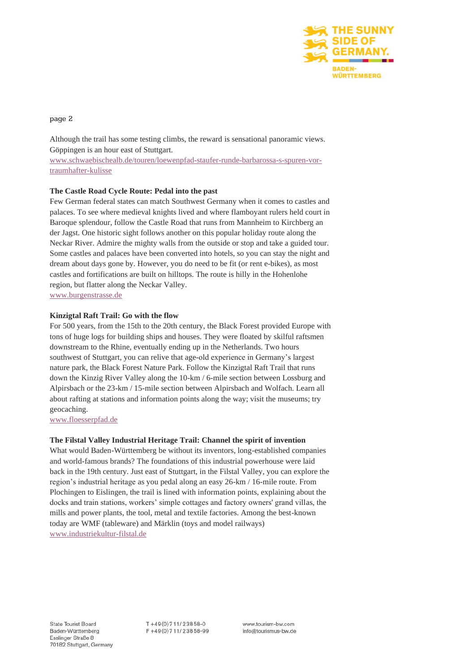

# page 2

Although the trail has some testing climbs, the reward is sensational panoramic views. Göppingen is an hour east of Stuttgart.

[www.schwaebischealb.de/touren/loewenpfad-staufer-runde-barbarossa-s-spuren-vor](http://www.schwaebischealb.de/touren/loewenpfad-staufer-runde-barbarossa-s-spuren-vor-traumhafter-kulisse)[traumhafter-kulisse](http://www.schwaebischealb.de/touren/loewenpfad-staufer-runde-barbarossa-s-spuren-vor-traumhafter-kulisse)

# **The Castle Road Cycle Route: Pedal into the past**

Few German federal states can match Southwest Germany when it comes to castles and palaces. To see where medieval knights lived and where flamboyant rulers held court in Baroque splendour, follow the Castle Road that runs from Mannheim to Kirchberg an der Jagst. One historic sight follows another on this popular holiday route along the Neckar River. Admire the mighty walls from the outside or stop and take a guided tour. Some castles and palaces have been converted into hotels, so you can stay the night and dream about days gone by. However, you do need to be fit (or rent e-bikes), as most castles and fortifications are built on hilltops. The route is hilly in the Hohenlohe region, but flatter along the Neckar Valley. [www.burgenstrasse.de](http://www.burgenstrasse.de/)

# **Kinzigtal Raft Trail: Go with the flow**

For 500 years, from the 15th to the 20th century, the Black Forest provided Europe with tons of huge logs for building ships and houses. They were floated by skilful raftsmen downstream to the Rhine, eventually ending up in the Netherlands. Two hours southwest of Stuttgart, you can relive that age-old experience in Germany's largest nature park, the Black Forest Nature Park. Follow the Kinzigtal Raft Trail that runs down the Kinzig River Valley along the 10-km / 6-mile section between Lossburg and Alpirsbach or the 23-km / 15-mile section between Alpirsbach and Wolfach. Learn all about rafting at stations and information points along the way; visit the museums; try geocaching.

[www.floesserpfad.de](http://www.floesserpfad.de/)

# **The Filstal Valley Industrial Heritage Trail: Channel the spirit of invention**

What would Baden-Württemberg be without its inventors, long-established companies and world-famous brands? The foundations of this industrial powerhouse were laid back in the 19th century. Just east of Stuttgart, in the Filstal Valley, you can explore the region's industrial heritage as you pedal along an easy 26-km / 16-mile route. From Plochingen to Eislingen, the trail is lined with information points, explaining about the docks and train stations, workers' simple cottages and factory owners' grand villas, the mills and power plants, the tool, metal and textile factories. Among the best-known today are WMF (tableware) and Märklin (toys and model railways) [www.industriekultur-filstal.de](http://www.industriekultur-filstal.de/)

 $T + 49(0)711/23858-0$ F+49(0)711/23858-99 www.tourism-bw.com info@tourismus-bw.de